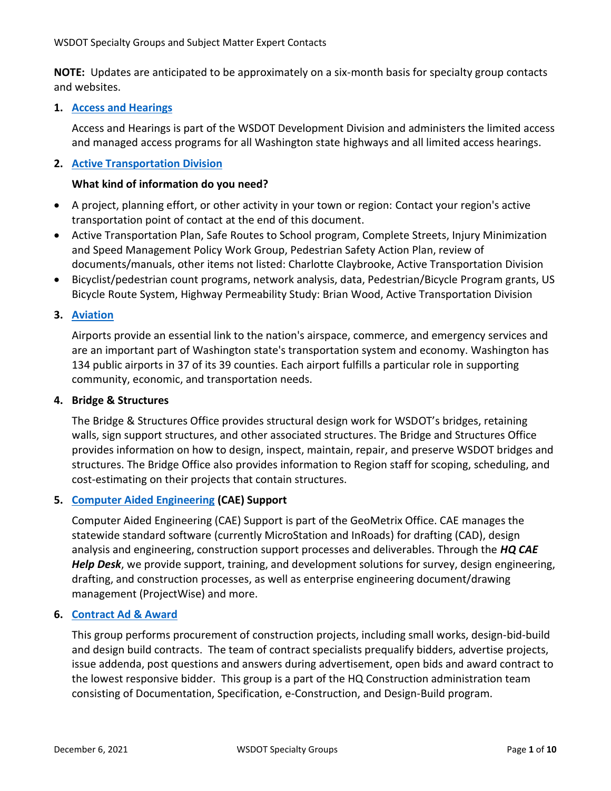**NOTE:** Updates are anticipated to be approximately on a six-month basis for specialty group contacts and websites.

# **1. [Access and Hearings](https://wsdot.wa.gov/business-wsdot/highway-access-requests-training)**

Access and Hearings is part of the WSDOT Development Division and administers the limited access and managed access programs for all Washington state highways and all limited access hearings.

# **2. [Active Transportation Division](https://wsdot.wa.gov/business-wsdot/support-local-programs/technical-assistance/active-transportation-services)**

## **What kind of information do you need?**

- A project, planning effort, or other activity in your town or region: Contact your region's active transportation point of contact at the end of this document.
- Active Transportation Plan, Safe Routes to School program, Complete Streets, Injury Minimization and Speed Management Policy Work Group, Pedestrian Safety Action Plan, review of documents/manuals, other items not listed: Charlotte Claybrooke, Active Transportation Division
- Bicyclist/pedestrian count programs, network analysis, data, Pedestrian/Bicycle Program grants, US Bicycle Route System, Highway Permeability Study: Brian Wood, Active Transportation Division

# **3. [Aviation](https://wsdot.wa.gov/travel/aviation/aviation-news-contacts)**

Airports provide an essential link to the nation's airspace, commerce, and emergency services and are an important part of Washington state's transportation system and economy. Washington has 134 public airports in 37 of its 39 counties. Each airport fulfills a particular role in supporting community, economic, and transportation needs.

## **4. Bridge & Structures**

The Bridge & Structures Office provides structural design work for WSDOT's bridges, retaining walls, sign support structures, and other associated structures. The Bridge and Structures Office provides information on how to design, inspect, maintain, repair, and preserve WSDOT bridges and structures. The Bridge Office also provides information to Region staff for scoping, scheduling, and cost-estimating on their projects that contain structures.

## **5. Computer [Aided Engineering](https://wsdot.wa.gov/engineering-standards/design-topics/engineering-applications/computer-aided-engineering) (CAE) Support**

Computer Aided Engineering (CAE) Support is part of the GeoMetrix Office. CAE manages the statewide standard software (currently MicroStation and InRoads) for drafting (CAD), design analysis and engineering, construction support processes and deliverables. Through the *HQ CAE Help Desk*, we provide support, training, and development solutions for survey, design engineering, drafting, and construction processes, as well as enterprise engineering document/drawing management (ProjectWise) and more.

## **6. [Contract Ad & Award](https://wsdot.wa.gov/business-wsdot/how-do-business-us/public-works-contracts)**

This group performs procurement of construction projects, including small works, design-bid-build and design build contracts. The team of contract specialists prequalify bidders, advertise projects, issue addenda, post questions and answers during advertisement, open bids and award contract to the lowest responsive bidder. This group is a part of the HQ Construction administration team consisting of Documentation, Specification, e-Construction, and Design-Build program.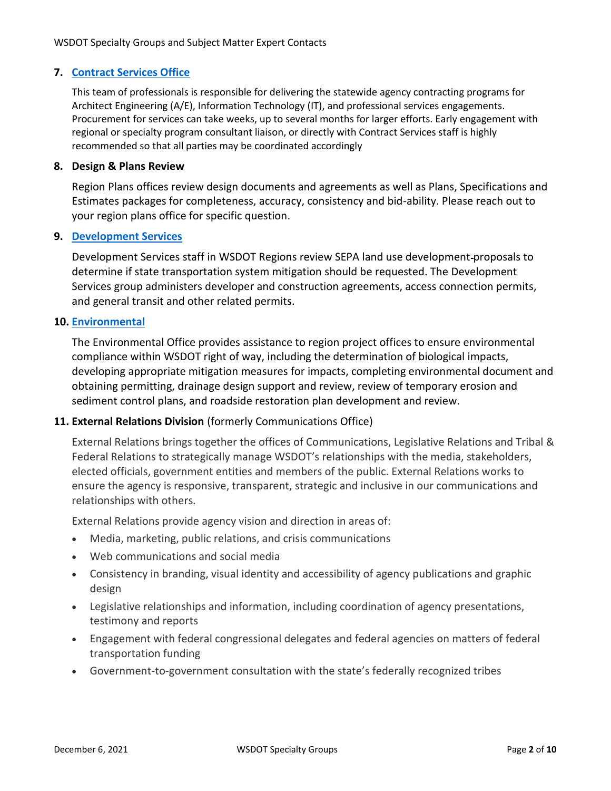# **7. [Contract Services Office](https://wsdot.wa.gov/business-wsdot/how-do-business-us/consultant-services/contact-wsdot-consultant-services)**

This team of professionals is responsible for delivering the statewide agency contracting programs for Architect Engineering (A/E), Information Technology (IT), and professional services engagements. Procurement for services can take weeks, up to several months for larger efforts. Early engagement with regional or specialty program consultant liaison, or directly with Contract Services staff is highly recommended so that all parties may be coordinated accordingly

## **8. Design & Plans Review**

Region Plans offices review design documents and agreements as well as Plans, Specifications and Estimates packages for completeness, accuracy, consistency and bid-ability. Please reach out to your region plans office for specific question.

# **9. [Development Services](https://wsdot.wa.gov/business-wsdot/highway-access-requests-training/development-services)**

Development Services staff in WSDOT Regions review SEPA land use development proposals to determine if state transportation system mitigation should be requested. The Development Services group administers developer and construction agreements, access connection permits, and general transit and other related permits.

## **10. [Environmental](https://wsdot.wa.gov/engineering-standards/design-topics/environment)**

The Environmental Office provides assistance to region project offices to ensure environmental compliance within WSDOT right of way, including the determination of biological impacts, developing appropriate mitigation measures for impacts, completing environmental document and obtaining permitting, drainage design support and review, review of temporary erosion and sediment control plans, and roadside restoration plan development and review.

# **11. External Relations Division** (formerly Communications Office)

External Relations brings together the offices of Communications, Legislative Relations and Tribal & Federal Relations to strategically manage WSDOT's relationships with the media, stakeholders, elected officials, government entities and members of the public. External Relations works to ensure the agency is responsive, transparent, strategic and inclusive in our communications and relationships with others.

External Relations provide agency vision and direction in areas of:

- Media, marketing, public relations, and crisis communications
- Web communications and social media
- Consistency in branding, visual identity and accessibility of agency publications and graphic design
- Legislative relationships and information, including coordination of agency presentations, testimony and reports
- Engagement with federal congressional delegates and federal agencies on matters of federal transportation funding
- Government-to-government consultation with the state's federally recognized tribes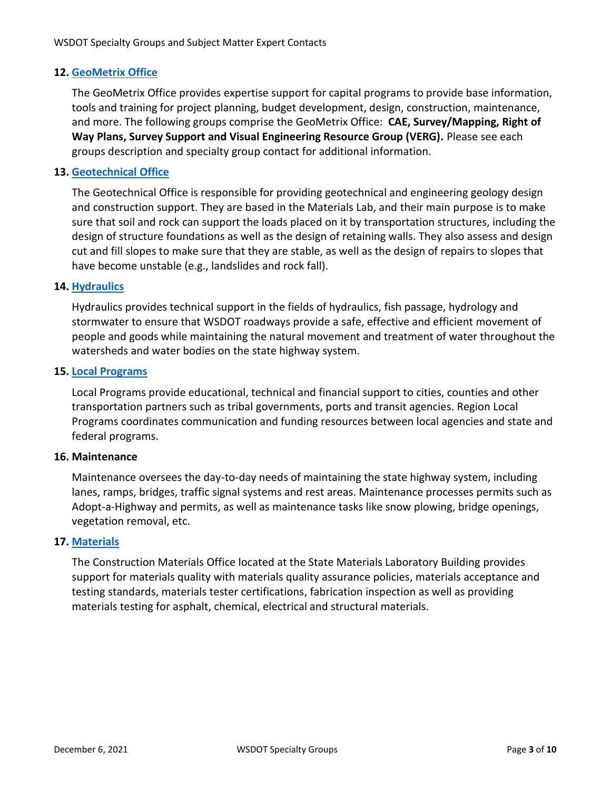# **12. [GeoMetrix Office](https://www.wsdot.wa.gov/Mapsdata/GeoMetrix/GeoContacts.htm)**

The GeoMetrix Office provides expertise support for capital programs to provide base information, tools and training for project planning, budget development, design, construction, maintenance, and more. The following groups comprise the GeoMetrix Office: **CAE, Survey/Mapping, Right of Way Plans, Survey Support and Visual Engineering Resource Group (VERG).** Please see each groups description and specialty group contact for additional information.

# **13. [Geotechnical Office](https://wsdot.wa.gov/engineering-standards/construction-materials/geological-earthwork)**

The Geotechnical Office is responsible for providing geotechnical and engineering geology design and construction support. They are based in the Materials Lab, and their main purpose is to make sure that soil and rock can support the loads placed on it by transportation structures, including the design of structure foundations as well as the design of retaining walls. They also assess and design cut and fill slopes to make sure that they are stable, as well as the design of repairs to slopes that have become unstable (e.g., landslides and rock fall).

## **14. [Hydraulics](https://wsdot.wa.gov/engineering-standards/design-topics/hydraulics-hydrology)**

Hydraulics provides technical support in the fields of hydraulics, fish passage, hydrology and stormwater to ensure that WSDOT roadways provide a safe, effective and efficient movement of people and goods while maintaining the natural movement and treatment of water throughout the watersheds and water bodies on the state highway system.

## **15. [Local Programs](https://wsdot.wa.gov/business-wsdot/support-local-programs)**

Local Programs provide educational, technical and financial support to cities, counties and other transportation partners such as tribal governments, ports and transit agencies. Region Local Programs coordinates communication and funding resources between local agencies and state and federal programs.

## **16. Maintenance**

Maintenance oversees the day-to-day needs of maintaining the state highway system, including lanes, ramps, bridges, traffic signal systems and rest areas. Maintenance processes permits such as Adopt-a-Highway and permits, as well as maintenance tasks like snow plowing, bridge openings, vegetation removal, etc.

## **17. [Materials](https://wsdot.wa.gov/engineering-standards/construction-materials)**

The Construction Materials Office located at the State Materials Laboratory Building provides support for materials quality with materials quality assurance policies, materials acceptance and testing standards, materials tester certifications, fabrication inspection as well as providing materials testing for asphalt, chemical, electrical and structural materials.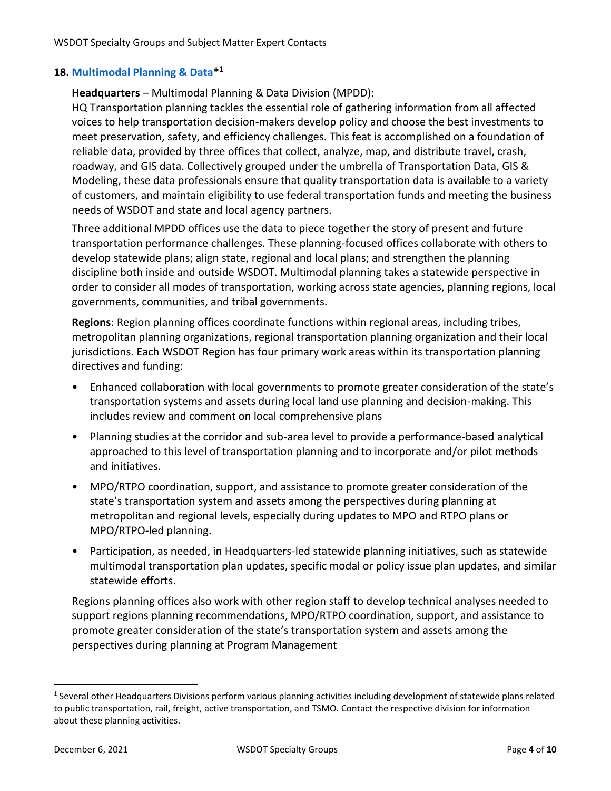# **18. [Multimodal Planning & Data\\*](https://wsdot.wa.gov/engineering-standards/planning-guidance) 1**

**Headquarters** – Multimodal Planning & Data Division (MPDD):

HQ Transportation planning tackles the essential role of gathering information from all affected voices to help transportation decision-makers develop policy and choose the best investments to meet preservation, safety, and efficiency challenges. This feat is accomplished on a foundation of reliable data, provided by three offices that collect, analyze, map, and distribute travel, crash, roadway, and GIS data. Collectively grouped under the umbrella of Transportation Data, GIS & Modeling, these data professionals ensure that quality transportation data is available to a variety of customers, and maintain eligibility to use federal transportation funds and meeting the business needs of WSDOT and state and local agency partners.

Three additional MPDD offices use the data to piece together the story of present and future transportation performance challenges. These planning-focused offices collaborate with others to develop statewide plans; align state, regional and local plans; and strengthen the planning discipline both inside and outside WSDOT. Multimodal planning takes a statewide perspective in order to consider all modes of transportation, working across state agencies, planning regions, local governments, communities, and tribal governments.

**Regions**: Region planning offices coordinate functions within regional areas, including tribes, metropolitan planning organizations, regional transportation planning organization and their local jurisdictions. Each WSDOT Region has four primary work areas within its transportation planning directives and funding:

- Enhanced collaboration with local governments to promote greater consideration of the state's transportation systems and assets during local land use planning and decision-making. This includes review and comment on local comprehensive plans
- Planning studies at the corridor and sub-area level to provide a performance-based analytical approached to this level of transportation planning and to incorporate and/or pilot methods and initiatives.
- MPO/RTPO coordination, support, and assistance to promote greater consideration of the state's transportation system and assets among the perspectives during planning at metropolitan and regional levels, especially during updates to MPO and RTPO plans or MPO/RTPO-led planning.
- Participation, as needed, in Headquarters-led statewide planning initiatives, such as statewide multimodal transportation plan updates, specific modal or policy issue plan updates, and similar statewide efforts.

Regions planning offices also work with other region staff to develop technical analyses needed to support regions planning recommendations, MPO/RTPO coordination, support, and assistance to promote greater consideration of the state's transportation system and assets among the perspectives during planning at Program Management

<sup>&</sup>lt;sup>1</sup> Several other Headquarters Divisions perform various planning activities including development of statewide plans related to public transportation, rail, freight, active transportation, and TSMO. Contact the respective division for information about these planning activities.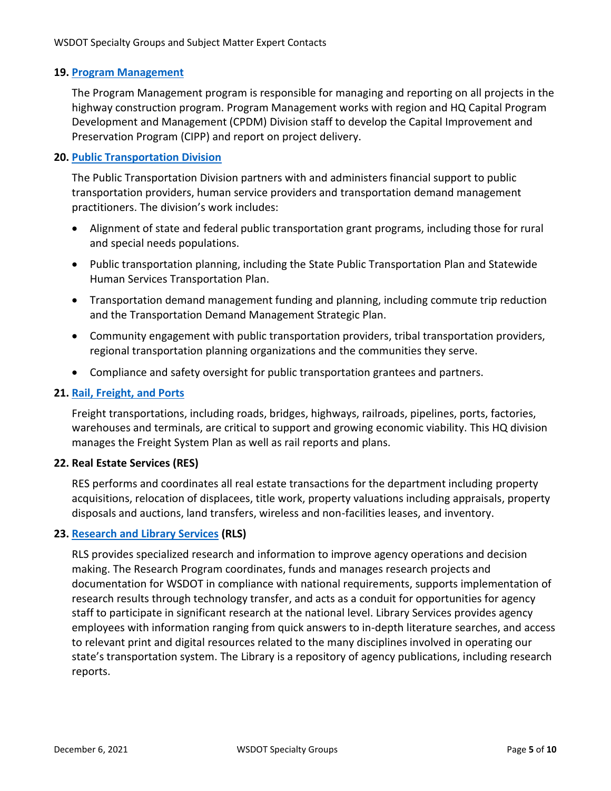## **19. [Program Management](https://wwwi.wsdot.wa.gov/about-us/offices-divisions/finance-administrative-services/capital-program-development-and-management-cpdm-division)**

The Program Management program is responsible for managing and reporting on all projects in the highway construction program. Program Management works with region and HQ Capital Program Development and Management (CPDM) Division staff to develop the Capital Improvement and Preservation Program (CIPP) and report on project delivery.

# **20. [Public Transportation Division](https://wsdot.wa.gov/business-wsdot/grants/public-transportation-grants/public-transportation-contacts)**

The Public Transportation Division partners with and administers financial support to public transportation providers, human service providers and transportation demand management practitioners. The division's work includes:

- Alignment of state and federal public transportation grant programs, including those for rural and special needs populations.
- Public transportation planning, including the State Public Transportation Plan and Statewide Human Services Transportation Plan.
- Transportation demand management funding and planning, including commute trip reduction and the Transportation Demand Management Strategic Plan.
- Community engagement with public transportation providers, tribal transportation providers, regional transportation planning organizations and the communities they serve.
- Compliance and safety oversight for public transportation grantees and partners.

# **21. [Rail, Freight, and Ports](https://wsdot.wa.gov/business-wsdot/freight-railways)**

Freight transportations, including roads, bridges, highways, railroads, pipelines, ports, factories, warehouses and terminals, are critical to support and growing economic viability. This HQ division manages the Freight System Plan as well as rail reports and plans.

## **22. Real Estate Services (RES)**

RES performs and coordinates all real estate transactions for the department including property acquisitions, relocation of displacees, title work, property valuations including appraisals, property disposals and auctions, land transfers, wireless and non-facilities leases, and inventory.

## **23. [Research and Library Services](https://wsdot.wa.gov/about/library-research-reports/library) (RLS)**

RLS provides specialized research and information to improve agency operations and decision making. The Research Program coordinates, funds and manages research projects and documentation for WSDOT in compliance with national requirements, supports implementation of research results through technology transfer, and acts as a conduit for opportunities for agency staff to participate in significant research at the national level. Library Services provides agency employees with information ranging from quick answers to in-depth literature searches, and access to relevant print and digital resources related to the many disciplines involved in operating our state's transportation system. The Library is a repository of agency publications, including research reports.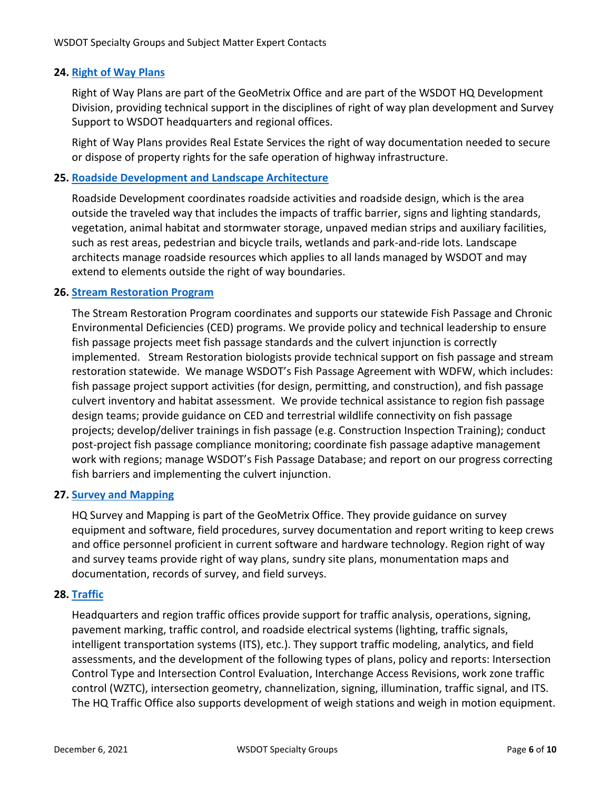# **24. [Right of Way Plans](https://wsdot.wa.gov/engineering-standards/design-topics/right-way-access-control)**

Right of Way Plans are part of the GeoMetrix Office and are part of the WSDOT HQ Development Division, providing technical support in the disciplines of right of way plan development and Survey Support to WSDOT headquarters and regional offices.

Right of Way Plans provides Real Estate Services the right of way documentation needed to secure or dispose of property rights for the safe operation of highway infrastructure.

# **25. [Roadside Development and Landscape Architecture](https://wsdot.wa.gov/engineering-standards/design-topics/roadside-development-facilities)**

Roadside Development coordinates roadside activities and roadside design, which is the area outside the traveled way that includes the impacts of traffic barrier, signs and lighting standards, vegetation, animal habitat and stormwater storage, unpaved median strips and auxiliary facilities, such as rest areas, pedestrian and bicycle trails, wetlands and park-and-ride lots. Landscape architects manage roadside resources which applies to all lands managed by WSDOT and may extend to elements outside the right of way boundaries.

## **26. [Stream Restoration Program](https://wsdot.wa.gov/engineering-standards/design-topics/environment/environmental-disciplines/stream-restoration)**

The Stream Restoration Program coordinates and supports our statewide Fish Passage and Chronic Environmental Deficiencies (CED) programs. We provide policy and technical leadership to ensure fish passage projects meet fish passage standards and the culvert injunction is correctly implemented. Stream Restoration biologists provide technical support on fish passage and stream restoration statewide. We manage WSDOT's Fish Passage Agreement with WDFW, which includes: fish passage project support activities (for design, permitting, and construction), and fish passage culvert inventory and habitat assessment. We provide technical assistance to region fish passage design teams; provide guidance on CED and terrestrial wildlife connectivity on fish passage projects; develop/deliver trainings in fish passage (e.g. Construction Inspection Training); conduct post-project fish passage compliance monitoring; coordinate fish passage adaptive management work with regions; manage WSDOT's Fish Passage Database; and report on our progress correcting fish barriers and implementing the culvert injunction.

## **27. [Survey and Mapping](https://wsdot.wa.gov/mapsdata/GeoUpdate/SurveyContacts.htm)**

HQ Survey and Mapping is part of the GeoMetrix Office. They provide guidance on survey equipment and software, field procedures, survey documentation and report writing to keep crews and office personnel proficient in current software and hardware technology. Region right of way and survey teams provide right of way plans, sundry site plans, monumentation maps and documentation, records of survey, and field surveys.

## **28. [Traffic](https://wsdot.wa.gov/engineering-standards/design-topics)**

Headquarters and region traffic offices provide support for traffic analysis, operations, signing, pavement marking, traffic control, and roadside electrical systems (lighting, traffic signals, intelligent transportation systems (ITS), etc.). They support traffic modeling, analytics, and field assessments, and the development of the following types of plans, policy and reports: Intersection Control Type and Intersection Control Evaluation, Interchange Access Revisions, work zone traffic control (WZTC), intersection geometry, channelization, signing, illumination, traffic signal, and ITS. The HQ Traffic Office also supports development of weigh stations and weigh in motion equipment.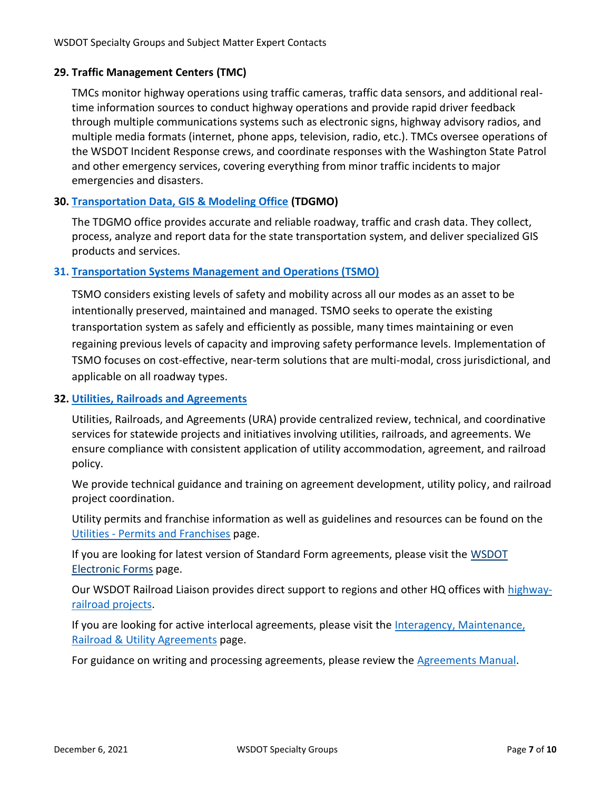# **29. Traffic Management Centers (TMC)**

TMCs monitor highway operations using traffic cameras, traffic data sensors, and additional realtime information sources to conduct highway operations and provide rapid driver feedback through multiple communications systems such as electronic signs, highway advisory radios, and multiple media formats (internet, phone apps, television, radio, etc.). TMCs oversee operations of the WSDOT Incident Response crews, and coordinate responses with the Washington State Patrol and other emergency services, covering everything from minor traffic incidents to major emergencies and disasters.

# **30. [Transportation Data, GIS & Modeling Office](https://www.wsdot.wa.gov/MapsData/tdgo_home.htm) (TDGMO)**

The TDGMO office provides accurate and reliable roadway, traffic and crash data. They collect, process, analyze and report data for the state transportation system, and deliver specialized GIS products and services.

# **31. [Transportation Systems Management and Operations \(TSMO\)](https://tsmowa.org/about)**

TSMO considers existing levels of safety and mobility across all our modes as an asset to be intentionally preserved, maintained and managed. TSMO seeks to operate the existing transportation system as safely and efficiently as possible, many times maintaining or even regaining previous levels of capacity and improving safety performance levels. Implementation of TSMO focuses on cost-effective, near-term solutions that are multi-modal, cross jurisdictional, and applicable on all roadway types.

# **32. [Utilities, Railroads and Agreements](https://wsdot.wa.gov/engineering-standards/design-topics/utilities-railroads-agreements)**

Utilities, Railroads, and Agreements (URA) provide centralized review, technical, and coordinative services for statewide projects and initiatives involving utilities, railroads, and agreements. We ensure compliance with consistent application of utility accommodation, agreement, and railroad policy.

We provide technical guidance and training on agreement development, utility policy, and railroad project coordination.

Utility permits and franchise information as well as guidelines and resources can be found on the Utilities - [Permits and Franchises](https://wsdot.wa.gov/engineering-standards/design-topics/utilities-railroads-agreements/permits-and-franchises) page.

If you are looking for latest version of Standard Form agreements, please visit the [WSDOT](https://wsdot.wa.gov/forms/pdfForms.html)  [Electronic Forms](https://wsdot.wa.gov/forms/pdfForms.html) page.

Our WSDOT Railroad Liaison provides direct support to regions and other HQ offices with [highway](https://wsdot.wa.gov/engineering-standards/design-topics/utilities-railroads-agreements/highway-railroad-coordination)[railroad projects.](https://wsdot.wa.gov/engineering-standards/design-topics/utilities-railroads-agreements/highway-railroad-coordination)

If you are looking for active interlocal agreements, please visit the [Interagency, Maintenance,](https://wsdot.wa.gov/engineering-standards/design-topics/utilities-railroads-agreements/interagency-maintenance-railroad-utility-agreements)  [Railroad & Utility Agreements](https://wsdot.wa.gov/engineering-standards/design-topics/utilities-railroads-agreements/interagency-maintenance-railroad-utility-agreements) page.

For guidance on writing and processing agreements, please review the [Agreements Manual.](https://wsdot.wa.gov/engineering-standards/all-manuals-and-standards/manuals/agreements-manual)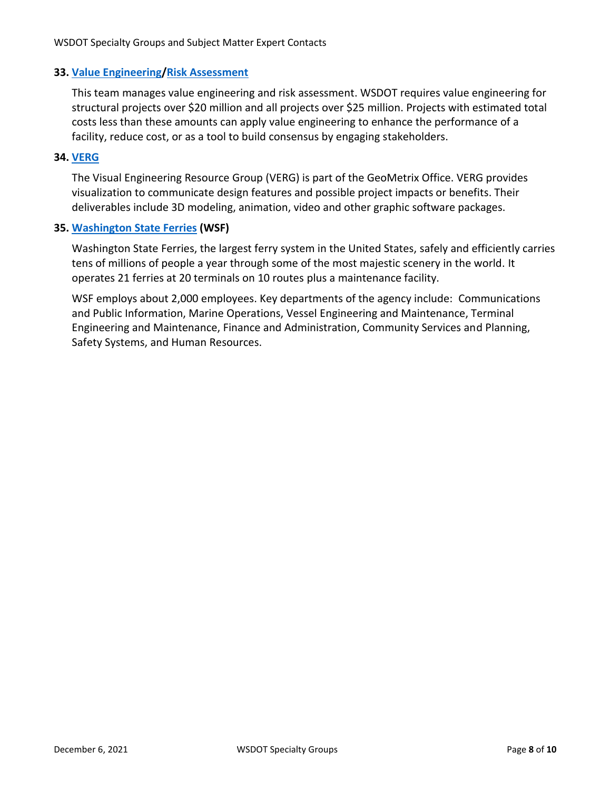# **33. [Value Engineering](https://wsdot.wa.gov/engineering-standards/project-management-training/project-management/value-engineering)[/Risk Assessment](https://wsdot.wa.gov/engineering-standards/project-management-training/project-management/cost-risk-assessment)**

This team manages value engineering and risk assessment. WSDOT requires value engineering for structural projects over \$20 million and all projects over \$25 million. Projects with estimated total costs less than these amounts can apply value engineering to enhance the performance of a facility, reduce cost, or as a tool to build consensus by engaging stakeholders.

## **34. [VERG](https://wsdot.wa.gov/business/visualcommunications/Visualization.htm)**

The Visual Engineering Resource Group (VERG) is part of the GeoMetrix Office. VERG provides visualization to communicate design features and possible project impacts or benefits. Their deliverables include 3D modeling, animation, video and other graphic software packages.

## **35. [Washington State Ferries](https://wsdot.wa.gov/ferries) (WSF)**

Washington State Ferries, the largest ferry system in the United States, safely and efficiently carries tens of millions of people a year through some of the most majestic scenery in the world. It operates 21 ferries at 20 terminals on 10 routes plus a maintenance facility.

WSF employs about 2,000 employees. Key departments of the agency include: Communications and Public Information, Marine Operations, Vessel Engineering and Maintenance, Terminal Engineering and Maintenance, Finance and Administration, Community Services and Planning, Safety Systems, and Human Resources.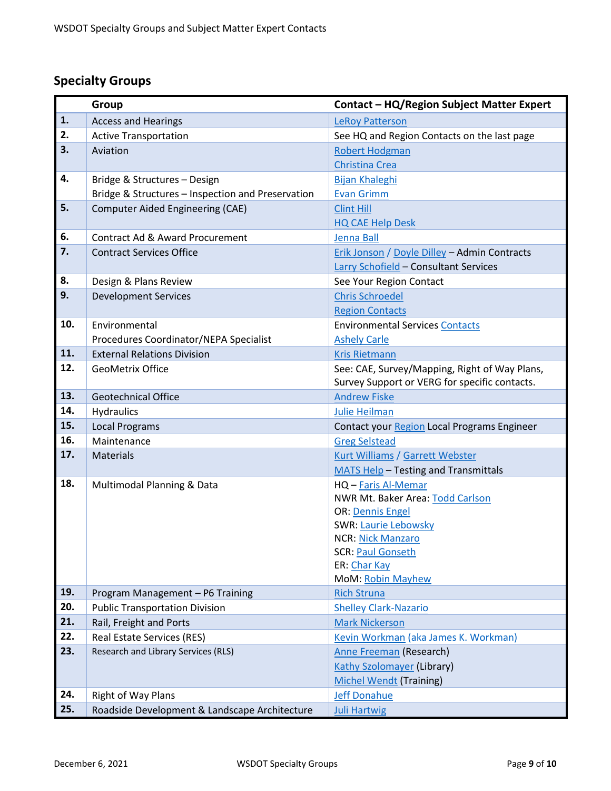# **Specialty Groups**

|     | Group                                             | Contact - HQ/Region Subject Matter Expert            |
|-----|---------------------------------------------------|------------------------------------------------------|
| 1.  | <b>Access and Hearings</b>                        | <b>LeRoy Patterson</b>                               |
| 2.  | <b>Active Transportation</b>                      | See HQ and Region Contacts on the last page          |
| 3.  | Aviation                                          | <b>Robert Hodgman</b>                                |
|     |                                                   | <b>Christina Crea</b>                                |
| 4.  | Bridge & Structures - Design                      | <b>Bijan Khaleghi</b>                                |
|     | Bridge & Structures - Inspection and Preservation | <b>Evan Grimm</b>                                    |
| 5.  | <b>Computer Aided Engineering (CAE)</b>           | <b>Clint Hill</b>                                    |
|     |                                                   | <b>HQ CAE Help Desk</b>                              |
| 6.  | Contract Ad & Award Procurement                   | Jenna Ball                                           |
| 7.  | <b>Contract Services Office</b>                   | Erik Jonson / Doyle Dilley - Admin Contracts         |
|     |                                                   | Larry Schofield - Consultant Services                |
| 8.  | Design & Plans Review                             | See Your Region Contact                              |
| 9.  | <b>Development Services</b>                       | <b>Chris Schroedel</b>                               |
|     |                                                   | <b>Region Contacts</b>                               |
| 10. | Environmental                                     | <b>Environmental Services Contacts</b>               |
|     | Procedures Coordinator/NEPA Specialist            | <b>Ashely Carle</b>                                  |
| 11. | <b>External Relations Division</b>                | <b>Kris Rietmann</b>                                 |
| 12. | <b>GeoMetrix Office</b>                           | See: CAE, Survey/Mapping, Right of Way Plans,        |
|     |                                                   | Survey Support or VERG for specific contacts.        |
| 13. | <b>Geotechnical Office</b>                        | <b>Andrew Fiske</b>                                  |
| 14. | Hydraulics                                        | <b>Julie Heilman</b>                                 |
| 15. | <b>Local Programs</b>                             | Contact your Region Local Programs Engineer          |
| 16. | Maintenance                                       | <b>Greg Selstead</b>                                 |
| 17. | <b>Materials</b>                                  | Kurt Williams / Garrett Webster                      |
|     |                                                   | <b>MATS Help-Testing and Transmittals</b>            |
| 18. | Multimodal Planning & Data                        | HQ - Faris Al-Memar                                  |
|     |                                                   | NWR Mt. Baker Area: Todd Carlson                     |
|     |                                                   | <b>OR: Dennis Engel</b>                              |
|     |                                                   | <b>SWR: Laurie Lebowsky</b>                          |
|     |                                                   | <b>NCR: Nick Manzaro</b><br><b>SCR: Paul Gonseth</b> |
|     |                                                   | ER: Char Kay                                         |
|     |                                                   | <b>MoM: Robin Mayhew</b>                             |
| 19. | Program Management - P6 Training                  | <b>Rich Struna</b>                                   |
| 20. | <b>Public Transportation Division</b>             | <b>Shelley Clark-Nazario</b>                         |
| 21. | Rail, Freight and Ports                           | <b>Mark Nickerson</b>                                |
| 22. | <b>Real Estate Services (RES)</b>                 | Kevin Workman (aka James K. Workman)                 |
| 23. | Research and Library Services (RLS)               | Anne Freeman (Research)                              |
|     |                                                   | <b>Kathy Szolomayer (Library)</b>                    |
|     |                                                   | <b>Michel Wendt (Training)</b>                       |
| 24. | <b>Right of Way Plans</b>                         | <b>Jeff Donahue</b>                                  |
| 25. | Roadside Development & Landscape Architecture     | <b>Juli Hartwig</b>                                  |